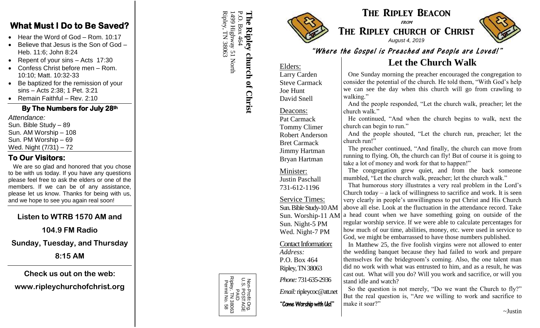#### **What Must I Do to Be Saved?**

- Hear the Word of God Rom. 10:17
- Believe that Jesus is the Son of God Heb. 11:6; John 8:24
- Repent of your sins Acts 17:30
- Confess Christ before men Rom. 10:10; Matt. 10:32 -33
- Be baptized for the remission of your sins – Acts 2:38; 1 Pet. 3:21
- Remain Faithful Rev. 2:10

#### **By The Numbers for July 2 8th**

*Attendance:* Sun. Bible Study – 8 9 Sun. AM Worship – 108 Sun. PM Worship – 69 Wed. Night (7/31 ) – 72

## **To Our Visitors:**

We are so glad and honored that you chose to be with us today. If you have any questions please feel free to ask the elders or one of the members. If we can be of any assistance, please let us know. Thanks for being with us, and we hope to see you again real soon!

### **Listen to WTRB 1570 AM and**

#### **104.9 FM Radio**

**Sunday, Tuesday, and Thursday**

**8:15 AM**

**Check us out on the web:**

## **www.ripleychurchofchrist.org**

1499 Highway 51 North<br>Ripley, TN 38063 Ripley, TN 38063 P.O. Box 464 The 1499 Highway 51 North P.O. Box 464 **The Ripley church of Christ** Ripley church of Christ

> Non-Profit Org. U.S. POSTAGE PAID Ripley, TN 38063 Permit No. 58

# The Ripley Beacon

#### from THE RIPLEY CHURCH OF CHRIST *August 4, 2019*



"Where the Gospel is Preached and People are Loved!"

#### Elders:

Larry Carden Steve Carmack Joe Hunt David Snell

Deacons: Pat Carmack Tommy Climer

Robert Anderson Bret Carmack Jimmy Hartman Bryan Hartman

Minister: Justin Paschall 731 -612 -1196

Service Times: Sun. Bible Study-10 AM Sun. Worship -11 AM Sun. Night - 5 PM Wed. Night -7 PM

Contact Information: *Address:* P.O. Box 464 Ripley, TN 38063 *Phone:* 731 -635 -2936

*Email:*ripleycoc@att.net "Come Worship with Us!"

 One Sunday morning the preacher encouraged the congregation to consider the potential of the church. He told them, "With God's help we can see the day when this church will go from crawling to walking."

**Let the Church Walk**

 And the people responded, "Let the church walk, preacher; let the church walk."

 He continued, "And when the church begins to walk, next the church can begin to run."

 And the people shouted, "Let the church run, preacher; let the church run!"

 The preacher continued, "And finally, the church can move from running to flying. Oh, the church can fly! But of course it is going to take a lot of money and work for that to happen!"

 The congregation grew quiet, and from the back someone mumbled, "Let the church walk, preacher; let the church walk."

 That humorous story illustrates a very real problem in the Lord's Church today – a lack of willingness to sacrifice and work. It is seen very clearly in people's unwillingness to put Christ and His Church above all else. Look at the fluctuation in the attendance record. Take a head count when we have something going on outside of the

regular worship service. If we were able to calculate percentages for how much of our time, abilities, money, etc. were used in service to God, we might be embarrassed to have those numbers published.

 In Matthew 25, the five foolish virgins were not allowed to enter the wedding banquet because they had failed to work and prepare themselves for the bridegroom's coming. Also, the one talent man did no work with what was entrusted to him, and as a result, he was cast out. What will you do? Will you work and sacrifice, or will you stand idle and watch?

 So the question is not merely, "Do we want the Church to fly?" But the real question is, "Are we willing to work and sacrifice to make it soar?"